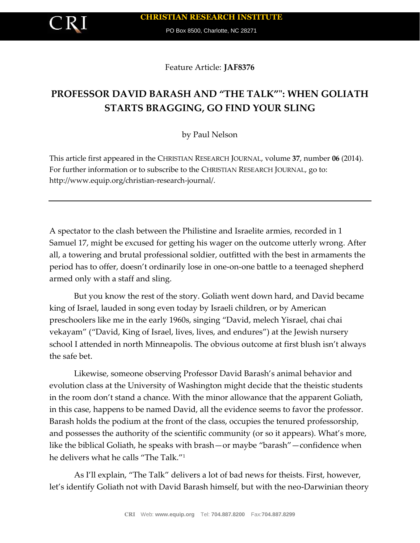PO Box 8500, Charlotte, NC 28271

Feature Article: **JAF8376**

# **PROFESSOR DAVID BARASH AND "THE TALK"": WHEN GOLIATH STARTS BRAGGING, GO FIND YOUR SLING**

by Paul Nelson

This article first appeared in the CHRISTIAN RESEARCH JOURNAL, volume **37**, number **06** (2014). For further information or to subscribe to the CHRISTIAN RESEARCH JOURNAL, go to: http://www.equip.org/christian-research-journal/.

A spectator to the clash between the Philistine and Israelite armies, recorded in 1 Samuel 17, might be excused for getting his wager on the outcome utterly wrong. After all, a towering and brutal professional soldier, outfitted with the best in armaments the period has to offer, doesn't ordinarily lose in one-on-one battle to a teenaged shepherd armed only with a staff and sling.

But you know the rest of the story. Goliath went down hard, and David became king of Israel, lauded in song even today by Israeli children, or by American preschoolers like me in the early 1960s, singing "David, melech Yisrael, chai chai vekayam" ("David, King of Israel, lives, lives, and endures") at the Jewish nursery school I attended in north Minneapolis. The obvious outcome at first blush isn't always the safe bet.

Likewise, someone observing Professor David Barash's animal behavior and evolution class at the University of Washington might decide that the theistic students in the room don't stand a chance. With the minor allowance that the apparent Goliath, in this case, happens to be named David, all the evidence seems to favor the professor. Barash holds the podium at the front of the class, occupies the tenured professorship, and possesses the authority of the scientific community (or so it appears). What's more, like the biblical Goliath, he speaks with brash—or maybe "barash"—confidence when he delivers what he calls "The Talk."<sup>1</sup>

As I'll explain, "The Talk" delivers a lot of bad news for theists. First, however, let's identify Goliath not with David Barash himself, but with the neo-Darwinian theory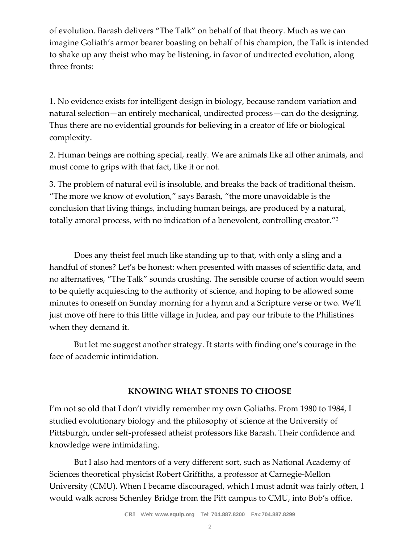of evolution. Barash delivers "The Talk" on behalf of that theory. Much as we can imagine Goliath's armor bearer boasting on behalf of his champion, the Talk is intended to shake up any theist who may be listening, in favor of undirected evolution, along three fronts:

1. No evidence exists for intelligent design in biology, because random variation and natural selection—an entirely mechanical, undirected process—can do the designing. Thus there are no evidential grounds for believing in a creator of life or biological complexity.

2. Human beings are nothing special, really. We are animals like all other animals, and must come to grips with that fact, like it or not.

3. The problem of natural evil is insoluble, and breaks the back of traditional theism. "The more we know of evolution," says Barash, "the more unavoidable is the conclusion that living things, including human beings, are produced by a natural, totally amoral process, with no indication of a benevolent, controlling creator."<sup>2</sup>

Does any theist feel much like standing up to that, with only a sling and a handful of stones? Let's be honest: when presented with masses of scientific data, and no alternatives, "The Talk" sounds crushing. The sensible course of action would seem to be quietly acquiescing to the authority of science, and hoping to be allowed some minutes to oneself on Sunday morning for a hymn and a Scripture verse or two. We'll just move off here to this little village in Judea, and pay our tribute to the Philistines when they demand it.

But let me suggest another strategy. It starts with finding one's courage in the face of academic intimidation.

## **KNOWING WHAT STONES TO CHOOSE**

I'm not so old that I don't vividly remember my own Goliaths. From 1980 to 1984, I studied evolutionary biology and the philosophy of science at the University of Pittsburgh, under self-professed atheist professors like Barash. Their confidence and knowledge were intimidating.

But I also had mentors of a very different sort, such as National Academy of Sciences theoretical physicist Robert Griffiths, a professor at Carnegie-Mellon University (CMU). When I became discouraged, which I must admit was fairly often, I would walk across Schenley Bridge from the Pitt campus to CMU, into Bob's office.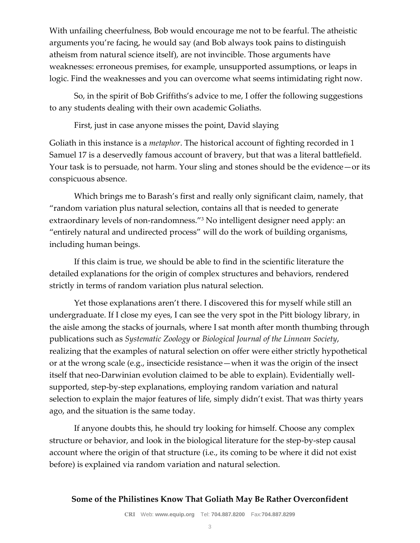With unfailing cheerfulness, Bob would encourage me not to be fearful. The atheistic arguments you're facing, he would say (and Bob always took pains to distinguish atheism from natural science itself), are not invincible. Those arguments have weaknesses: erroneous premises, for example, unsupported assumptions, or leaps in logic. Find the weaknesses and you can overcome what seems intimidating right now.

So, in the spirit of Bob Griffiths's advice to me, I offer the following suggestions to any students dealing with their own academic Goliaths.

First, just in case anyone misses the point, David slaying

Goliath in this instance is a *metaphor*. The historical account of fighting recorded in 1 Samuel 17 is a deservedly famous account of bravery, but that was a literal battlefield. Your task is to persuade, not harm. Your sling and stones should be the evidence—or its conspicuous absence.

Which brings me to Barash's first and really only significant claim, namely, that "random variation plus natural selection, contains all that is needed to generate extraordinary levels of non-randomness."<sup>3</sup> No intelligent designer need apply: an "entirely natural and undirected process" will do the work of building organisms, including human beings.

If this claim is true, we should be able to find in the scientific literature the detailed explanations for the origin of complex structures and behaviors, rendered strictly in terms of random variation plus natural selection.

Yet those explanations aren't there. I discovered this for myself while still an undergraduate. If I close my eyes, I can see the very spot in the Pitt biology library, in the aisle among the stacks of journals, where I sat month after month thumbing through publications such as *Systematic Zoology* or *Biological Journal of the Linnean Society*, realizing that the examples of natural selection on offer were either strictly hypothetical or at the wrong scale (e.g., insecticide resistance—when it was the origin of the insect itself that neo-Darwinian evolution claimed to be able to explain). Evidentially wellsupported, step-by-step explanations, employing random variation and natural selection to explain the major features of life, simply didn't exist. That was thirty years ago, and the situation is the same today.

If anyone doubts this, he should try looking for himself. Choose any complex structure or behavior, and look in the biological literature for the step-by-step causal account where the origin of that structure (i.e., its coming to be where it did not exist before) is explained via random variation and natural selection.

### **Some of the Philistines Know That Goliath May Be Rather Overconfident**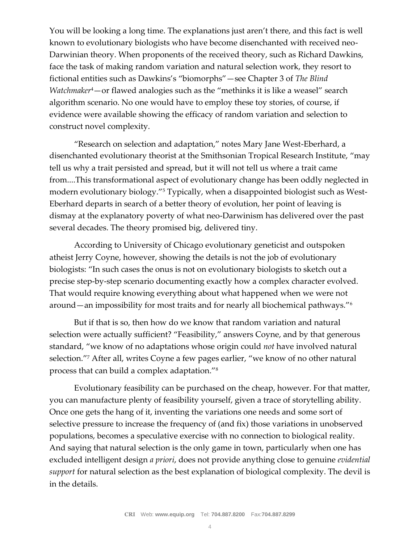You will be looking a long time. The explanations just aren't there, and this fact is well known to evolutionary biologists who have become disenchanted with received neo-Darwinian theory. When proponents of the received theory, such as Richard Dawkins, face the task of making random variation and natural selection work, they resort to fictional entities such as Dawkins's "biomorphs"—see Chapter 3 of *The Blind Watchmaker*4—or flawed analogies such as the "methinks it is like a weasel" search algorithm scenario. No one would have to employ these toy stories, of course, if evidence were available showing the efficacy of random variation and selection to construct novel complexity.

"Research on selection and adaptation," notes Mary Jane West-Eberhard, a disenchanted evolutionary theorist at the Smithsonian Tropical Research Institute, "may tell us why a trait persisted and spread, but it will not tell us where a trait came from....This transformational aspect of evolutionary change has been oddly neglected in modern evolutionary biology."<sup>5</sup> Typically, when a disappointed biologist such as West-Eberhard departs in search of a better theory of evolution, her point of leaving is dismay at the explanatory poverty of what neo-Darwinism has delivered over the past several decades. The theory promised big, delivered tiny.

According to University of Chicago evolutionary geneticist and outspoken atheist Jerry Coyne, however, showing the details is not the job of evolutionary biologists: "In such cases the onus is not on evolutionary biologists to sketch out a precise step-by-step scenario documenting exactly how a complex character evolved. That would require knowing everything about what happened when we were not around—an impossibility for most traits and for nearly all biochemical pathways."<sup>6</sup>

But if that is so, then how do we know that random variation and natural selection were actually sufficient? "Feasibility," answers Coyne, and by that generous standard, "we know of no adaptations whose origin could *not* have involved natural selection."<sup>7</sup> After all, writes Coyne a few pages earlier, "we know of no other natural process that can build a complex adaptation."<sup>8</sup>

Evolutionary feasibility can be purchased on the cheap, however. For that matter, you can manufacture plenty of feasibility yourself, given a trace of storytelling ability. Once one gets the hang of it, inventing the variations one needs and some sort of selective pressure to increase the frequency of (and fix) those variations in unobserved populations, becomes a speculative exercise with no connection to biological reality. And saying that natural selection is the only game in town, particularly when one has excluded intelligent design *a priori*, does not provide anything close to genuine *evidential support* for natural selection as the best explanation of biological complexity. The devil is in the details.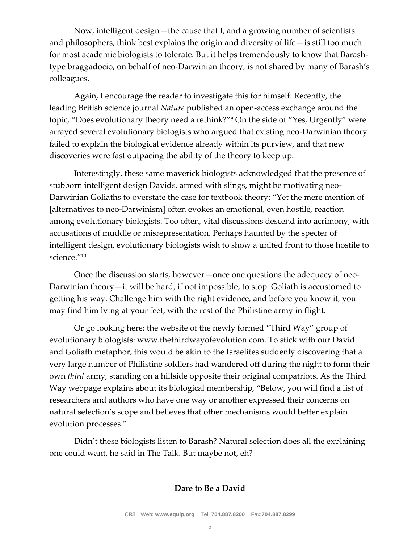Now, intelligent design—the cause that I, and a growing number of scientists and philosophers, think best explains the origin and diversity of life—is still too much for most academic biologists to tolerate. But it helps tremendously to know that Barashtype braggadocio, on behalf of neo-Darwinian theory, is not shared by many of Barash's colleagues.

Again, I encourage the reader to investigate this for himself. Recently, the leading British science journal *Nature* published an open-access exchange around the topic, "Does evolutionary theory need a rethink?"<sup>9</sup> On the side of "Yes, Urgently" were arrayed several evolutionary biologists who argued that existing neo-Darwinian theory failed to explain the biological evidence already within its purview, and that new discoveries were fast outpacing the ability of the theory to keep up.

Interestingly, these same maverick biologists acknowledged that the presence of stubborn intelligent design Davids, armed with slings, might be motivating neo-Darwinian Goliaths to overstate the case for textbook theory: "Yet the mere mention of [alternatives to neo-Darwinism] often evokes an emotional, even hostile, reaction among evolutionary biologists. Too often, vital discussions descend into acrimony, with accusations of muddle or misrepresentation. Perhaps haunted by the specter of intelligent design, evolutionary biologists wish to show a united front to those hostile to science."<sup>10</sup>

Once the discussion starts, however—once one questions the adequacy of neo-Darwinian theory—it will be hard, if not impossible, to stop. Goliath is accustomed to getting his way. Challenge him with the right evidence, and before you know it, you may find him lying at your feet, with the rest of the Philistine army in flight.

Or go looking here: the website of the newly formed "Third Way" group of evolutionary biologists: www.thethirdwayofevolution.com. To stick with our David and Goliath metaphor, this would be akin to the Israelites suddenly discovering that a very large number of Philistine soldiers had wandered off during the night to form their own *third* army, standing on a hillside opposite their original compatriots. As the Third Way webpage explains about its biological membership, "Below, you will find a list of researchers and authors who have one way or another expressed their concerns on natural selection's scope and believes that other mechanisms would better explain evolution processes."

Didn't these biologists listen to Barash? Natural selection does all the explaining one could want, he said in The Talk. But maybe not, eh?

#### **Dare to Be a David**